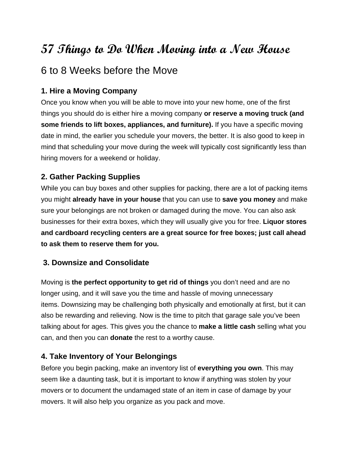# **57 Things to Do When Moving into a New House**

## 6 to 8 Weeks before the Move

### **1. Hire a Moving Company**

Once you know when you will be able to move into your new home, one of the first things you should do is either [hire a moving company](http://www.realsimple.com/home-organizing/organizing/moving/12-steps-hiring-mover) **or reserve a moving truck (and some friends to lift boxes, appliances, and furniture).** If you have a specific moving date in mind, the earlier you schedule your movers, the better. It is also good to keep in mind that scheduling your move during the week will typically cost significantly less than hiring movers for a weekend or holiday.

### **2. Gather Packing Supplies**

While you can buy boxes and other supplies for packing, there are a lot of packing items you might **already have in your house** that you can use to **save you money** and make sure your belongings are not broken or damaged during the move. You can also ask businesses for their extra boxes, which they will usually give you for free. **Liquor stores and cardboard recycling centers are a [great source for free boxes;](http://blog.rent.com/simple-ways-to-find-free-moving-boxes/) just call ahead to ask them to reserve them for you.**

#### **3. Downsize and Consolidate**

Moving is **the perfect opportunity to get rid of things** you don't need and are no longer using, and it will save you the time and hassle of moving unnecessary items. [Downsizing](https://www.caring.com/articles/getting-rid-of-seniors-junk) may be challenging both physically and emotionally at first, but it can also be rewarding and relieving. Now is the time to pitch that garage sale you've been talking about for ages. This gives you the chance to **make a little cash** selling what you can, and then you can **donate** the rest to a worthy cause.

#### **4. Take Inventory of Your Belongings**

Before you begin packing, [make an inventory list](http://www.removalreviews.co.uk/move/home-inventory-for-moving) of **everything you own**. This may seem like a daunting task, but it is important to know if anything was stolen by your movers or to document the undamaged state of an item in case of damage by your movers. It will also help you organize as you pack and move.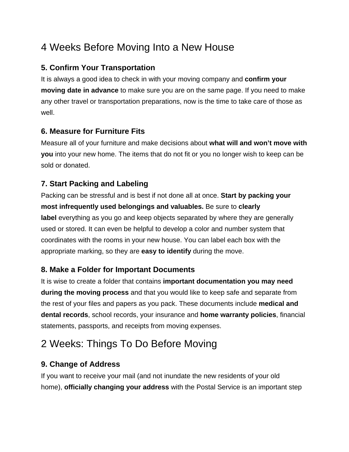# 4 Weeks Before Moving Into a New House

## **5. Confirm Your Transportation**

It is always a good idea to check in with your moving company and **confirm [your](http://movingseamlessly.com/setting-a-moving-date/)  [moving date](http://movingseamlessly.com/setting-a-moving-date/) in advance** to make sure you are on the same page. If you need to make any other travel or transportation preparations, now is the time to take care of those as well.

## **6. Measure for Furniture Fits**

[Measure all of your furniture](http://www.crateandbarrel.com/ideas-and-advice/how-to-measure-furniture) and make decisions about **what will and won't move with you** into your new home. The items that do not fit or you no longer wish to keep can be sold or donated.

## **7. Start Packing and Labeling**

[Packing](http://www.frugalcouponliving.com/moving-hacks-and-tips/) can be stressful and is best if not done all at once. **Start by packing your most infrequently used belongings and valuables.** Be sure to **[clearly](http://www.thegirlcreative.com/color-coordinated-packing-labels/)  [label](http://www.thegirlcreative.com/color-coordinated-packing-labels/)** everything as you go and keep objects separated by where they are generally used or stored. It can even be helpful to develop a color and number system that coordinates with the rooms in your new house. You can label each box with the appropriate marking, so they are **easy to identify** during the move.

## **8. Make a Folder for Important Documents**

It is wise to create a folder that contains **[important documentation](http://www.moveline.com/blog/collect-these-documents-before-your-move) you may need during the moving process** and that you would like to keep safe and separate from the rest of your files and papers as you pack. These documents include **medical and dental records**, school records, your insurance and **home warranty policies**, financial statements, passports, and receipts from moving expenses.

# 2 Weeks: Things To Do Before Moving

## **9. Change of Address**

If you want to receive your mail (and not inundate the new residents of your old home), **officially changing your address** with the Postal Service is an important step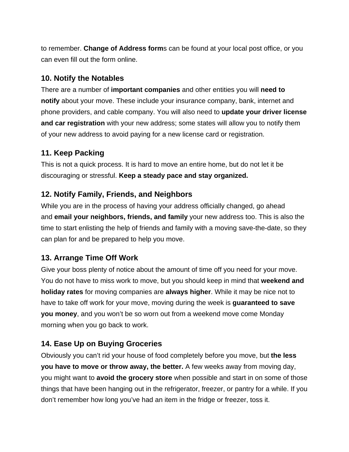to remember. **Change of Address form**s can be found at your local post office, or you can even [fill out the form online](https://moversguide.usps.com/icoa/home/icoa-main-flow.do?execution=e1s1&_flowId=icoa-main-flow).

#### **10. Notify the Notables**

There are a number of **important companies** and other entities you will **[need to](http://tygabox.com/your-change-of-address-checklist-who-to-notify-when-you-move/)  [notify](http://tygabox.com/your-change-of-address-checklist-who-to-notify-when-you-move/)** about your move. These include your insurance company, bank, internet and phone providers, and cable company. You will also need to **update your driver license and car registration** with your new address; some states will allow you to notify them of your new address to avoid paying for a new license card or registration.

#### **11. Keep Packing**

This is [not a quick process](http://blog.flatrate.com/moving-planning-pack-your-things-in-order/#.WEWpqvorJEY). It is hard to move an entire home, but do not let it be discouraging or stressful. **Keep a steady pace and stay organized.**

#### **12. Notify Family, Friends, and Neighbors**

While you are in the process of having your address officially changed, go ahead and **email your neighbors, friends, and family** your new address too. This is also the time to start enlisting the help of friends and family with a [moving save-the-date](http://www.minted.com/moving-announcements), so they can plan for and be prepared to help you move.

#### **13. Arrange Time Off Work**

Give your boss plenty of notice about the amount of [time off you need for your move](http://www.salary.com/time-off-paid-time-off-from-work/). You do not have to miss work to move, but you should keep in mind that **weekend and holiday rates** for moving companies are **always higher**. While it may be nice not to have to take off work for your move, moving during the week is **guaranteed to save you money**, and you won't be so worn out from a weekend move come Monday morning when you go back to work.

## **14. Ease Up on Buying Groceries**

Obviously you can't rid your house of food completely before you move, but **the less you have to move or throw away, the better.** A few weeks away from moving day, you might want to **avoid the grocery store** when possible and start in on some of those things that have been hanging out in the [refrigerator, freezer, or pantry](http://www.parents.com/recipes/cooking/easy-dinner/meals-to-clean-out-your-fridge/?slideId=53744) for a while. If you don't remember how long you've had an item in the fridge or freezer, toss it.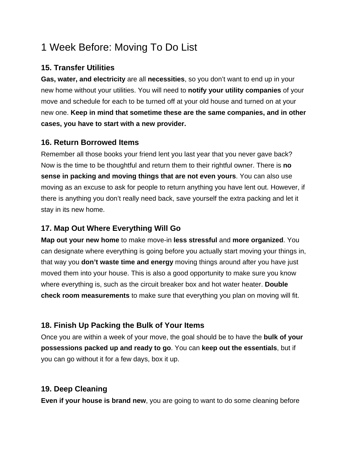# 1 Week Before: Moving To Do List

### **15. Transfer Utilities**

**Gas, water, and electricity** are all **necessities**, so you don't want to end up in your new home without your utilities. You will need to **[notify your utility companies](http://blog.upack.com/posts/transferring-utilities-when-you-move)** of your move and schedule for each to be turned off at your old house and turned on at your new one. **Keep in mind that sometime these are the same companies, and in other cases, you have to start with a new provider.**

#### **16. Return Borrowed Items**

Remember all those books your friend lent you last year that you never gave back? Now is the time to be thoughtful and return them to their rightful owner. There is **no sense in packing and moving things that are not even yours**. You can also use moving as an excuse to [ask for people to return anything you have lent out](http://www.wikihow.com/Ask-a-Friend-to-Return-an-Item-They-Borrowed). However, if there is anything you don't really need back, save yourself the extra packing and let it stay in its new home.

## **17. Map Out Where Everything Will Go**

**[Map out your new home](http://dumbomoving.com/how-to-create-a-floor-plan-for-your-move/)** to make move-in **less stressful** and **more organized**. You can designate where everything is going before you actually start moving your things in, that way you **don't waste time and energy** moving things around after you have just moved them into your house. This is also a good opportunity to make sure you know where everything is, such as the circuit breaker box and hot water heater. **Double check room measurements** to make sure that everything you plan on moving will fit.

#### **18. Finish Up Packing the Bulk of Your Items**

Once you are within a week of your move, the goal should be to have the **bulk of your possessions [packed up and ready to go](http://www.itsoverflowing.com/2013/09/lots-of-useful-moving-tips/)**. You can **keep out the essentials**, but if you can go without it for a few days, box it up.

#### **19. Deep Cleaning**

**Even if your house is brand new**, you are going to want to do some cleaning before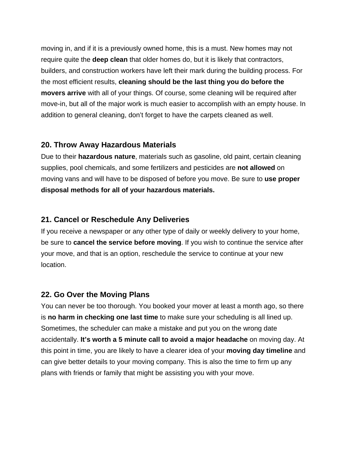moving in, and if it is a previously owned home, this is a must. New homes may not require quite the **[deep clean](http://cleanmyspace.com/move-in-cleaning/)** that older homes do, but it is likely that contractors, builders, and construction workers have left their mark during the building process. For the most efficient results, **cleaning should be the last thing you do before the movers arrive** with all of your things. Of course, some cleaning will be required after move-in, but all of the major work is much easier to accomplish with an empty house. In addition to general cleaning, don't forget to have the carpets cleaned as well.

#### **20. Throw Away Hazardous Materials**

Due to their **hazardous nature**, materials such as gasoline, old paint, certain cleaning supplies, pool chemicals, and some fertilizers and pesticides are **not allowed** on moving vans and will have to be disposed of before you move. Be sure to **use [proper](https://www.bekins.com/2016/04/20/how-to-dispose-of-dangerous-items-before-a-move/)  [disposal](https://www.bekins.com/2016/04/20/how-to-dispose-of-dangerous-items-before-a-move/) methods for all of your hazardous materials.**

#### **21. Cancel or Reschedule Any Deliveries**

If you receive a newspaper or any other type of daily or weekly delivery to your home, be sure to **cancel the service before moving**. If you wish to continue the service after your move, and that is an option, reschedule the service to continue at your new location.

#### **22. Go Over the Moving Plans**

You can never be too thorough. You booked your mover at least a month ago, so there is **no harm in checking one last time** to make sure your scheduling is all lined up. Sometimes, the scheduler can make a mistake and put you on the wrong date accidentally. **It's worth a 5 minute call to avoid a major headache** on moving day. At this point in time, you are likely to have a clearer idea of your **moving day timeline** and can give better details to your moving company. This is also the time to firm up any plans with [friends or family that might be assisting you with your move.](http://www.quickanddirtytips.com/relationships/etiquette-manners/how-to-treat-friends-who-help-you-move)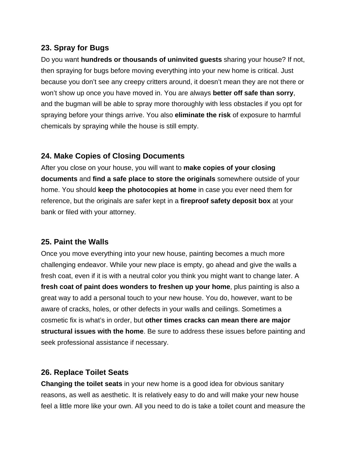#### **23. Spray for Bugs**

Do you want **hundreds or thousands of uninvited guests** sharing your house? If not, then [spraying for bugs before moving](http://apartmentprepper.com/pest-control-for-your-apartment-a-necessary-part-of-your-prepping-efforts/) everything into your new home is critical. Just because you don't see any creepy critters around, it doesn't mean they are not there or won't show up once you have moved in. You are always **better off safe than sorry**, and the bugman will be able to spray more thoroughly with less obstacles if you opt for spraying before your things arrive. You also **eliminate the risk** of exposure to harmful chemicals by spraying while the house is still empty.

#### **24. Make Copies of Closing Documents**

After you close on your house, you will want to **[make copies of your closing](https://www.thebalance.com/after-home-closing-which-documents-should-i-keep-1798245)  [documents](https://www.thebalance.com/after-home-closing-which-documents-should-i-keep-1798245)** and **find a safe place to store the originals** somewhere outside of your home. You should **keep the photocopies at home** in case you ever need them for reference, but the originals are safer kept in a **fireproof safety deposit box** at your bank or filed with your attorney.

#### **25. Paint the Walls**

Once you move everything into your new house, painting becomes a much more challenging endeavor. While your new place is empty, go ahead and [give the walls a](http://happilyeverafteretc.com/2015/07/06/how-to-paint-like-a-pro-tips-and-tricks-from-sherwin-williams-university/)  [fresh coat,](http://happilyeverafteretc.com/2015/07/06/how-to-paint-like-a-pro-tips-and-tricks-from-sherwin-williams-university/) even if it is with a neutral color you think you might want to change later. A **fresh coat of paint does wonders to freshen up your home**, plus painting is also a great way to add a personal touch to your new house. You do, however, want to be aware of cracks, holes, or other defects in your walls and ceilings. Sometimes a cosmetic fix is what's in order, but **other times cracks can mean there are major structural issues with the home**. Be sure to address these issues before painting and seek professional assistance if necessary.

#### **26. Replace Toilet Seats**

**Changing the toilet seats** in your new home is a good idea for obvious sanitary reasons, as well as aesthetic. It is relatively easy to do and will make your new house feel a little more like your own. All you need to do is take a toilet count and measure the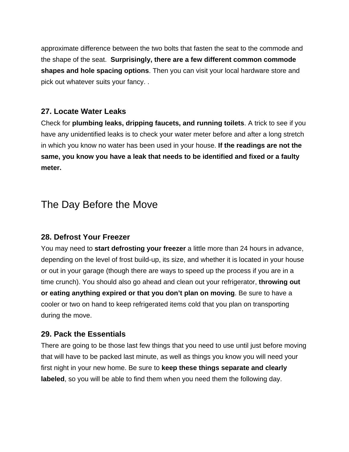approximate difference between the two bolts that fasten the seat to the commode and the shape of the seat. **Surprisingly, there are a few different common commode shapes and hole spacing options**. Then you can visit your local hardware store and pick out whatever suits your fancy. .

#### **27. Locate Water Leaks**

Check for **plumbing leaks, dripping faucets, and running toilets**. A trick to see if you have any unidentified leaks is to check your water meter before and after a long stretch in which you know no water has been used in your house. **If the readings are not the same, you know you have [a leak that needs to be identified and fixed](http://www.familyhandyman.com/plumbing/repair/find-and-repair-hidden-plumbing-leaks/step-by-step) or a faulty meter.** 

## The Day Before the Move

#### **28. Defrost Your Freezer**

You may need to **start defrosting your freezer** a little more than 24 hours in advance, depending on the level of frost build-up, its size, and whether it is located in your house or out in your garage (though there are ways to [speed up the process](http://hubpages.com/living/defrost--freezer-quickly) if you are in a time crunch). You should also go ahead and clean out your refrigerator, **throwing out or eating anything expired or that you don't plan on moving**. Be sure to have a cooler or two on hand to keep refrigerated items cold that you plan on transporting during the move.

#### **29. Pack the Essentials**

There are going to be those last few things that you need to use until just before moving that will have to be packed last minute, as well as [things you know you will need your](https://www.redfin.com/blog/2014/08/first-night-in-a-new-home.html)  [first night in your new home.](https://www.redfin.com/blog/2014/08/first-night-in-a-new-home.html) Be sure to **keep these things separate and clearly labeled**, so you will be able to find them when you need them the following day.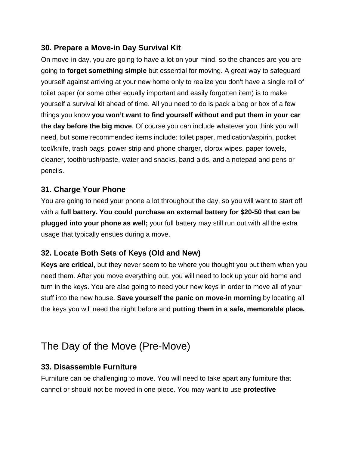## **30. Prepare a Move-in Day Survival Kit**

On move-in day, you are going to have a lot on your mind, so the chances are you are going to **forget something simple** but essential for moving. A great way to safeguard yourself against arriving at your new home only to realize you don't have a single roll of toilet paper (or some other equally important and easily forgotten item) is to make yourself a survival kit ahead of time. All you need to do is pack a bag or box of a few things you know **you won't want to find yourself without and put them in your car the day before the big move**. Of course you can include whatever you think you will need, but some [recommended items](http://www.houzz.com/ideabooks/15840302/list/The-Moving-Day-Survival-Kit--Lifesaving-Items-and-Niceties) include: toilet paper, medication/aspirin, pocket tool/knife, trash bags, power strip and phone charger, clorox wipes, paper towels, cleaner, toothbrush/paste, water and snacks, band-aids, and a notepad and pens or pencils.

#### **31. Charge Your Phone**

You are going to need your phone a lot throughout the day, so you will want to start off with a **full battery. You could [purchase an external battery](http://www.digitaltrends.com/mobile/best-portable-battery-chargers/) for \$20-50 that can be plugged into your phone as well;** your full battery may still run out with all the extra usage that typically ensues during a move.

## **32. Locate Both Sets of Keys (Old and New)**

**Keys are critical**, but they never seem to be where you thought you put them when you need them. After you move everything out, you will need to lock up your old home and turn in the keys. You are also going to need your new keys in order to move all of your stuff into the new house. **Save yourself the panic on move-in morning** by [locating all](http://www.onecrazyhouse.com/18-brilliant-ways-keep-track-keys/)  [the keys you will need](http://www.onecrazyhouse.com/18-brilliant-ways-keep-track-keys/) the night before and **putting them in a safe, memorable place.** 

## The Day of the Move (Pre-Move)

#### **33. Disassemble Furniture**

[Furniture can be challenging to move](http://www.familyhandyman.com/storage-organization/10-tips-for-moving-furniture#.Ux7kwGe9LCQ). You will need to take apart any furniture that cannot or should not be moved in one piece. You may want to use **protective**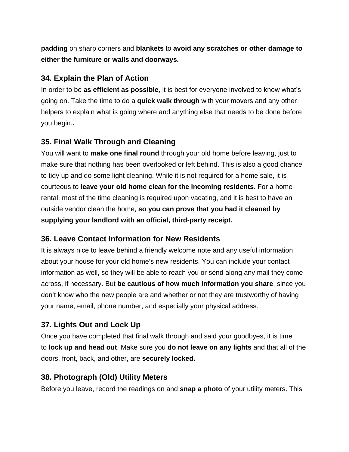**padding** on sharp corners and **blankets** to **avoid any scratches or other damage to either the furniture or walls and doorways.**

### **34. Explain the Plan of Action**

In order to be **as efficient as possible**, it is best for everyone involved to know what's going on. Take the time to do a **[quick walk through](http://movingseamlessly.com/when-the-movers-arrive/)** with your movers and any other helpers to explain what is going where and anything else that needs to be done before you begin.**.**

#### **35. Final Walk Through and Cleaning**

You will want to **make one final round** through your old home before leaving, just to make sure that nothing has been overlooked or left behind. This is also a good chance to tidy up and do some light cleaning. While it is not required for a home sale, it is courteous to **leave your old home clean for the incoming residents**. For a home rental, most of the time cleaning is required upon vacating, and it is best t[o have an](http://mrreadyclean.com/make-ready-cleaning/)  [outside vendor clean](http://mrreadyclean.com/make-ready-cleaning/) the home, **so you can prove that you had it cleaned by supplying your landlord with an official, third-party receipt.**

#### **36. Leave Contact Information for New Residents**

It is always nice to leave behind a friendly welcome note and any useful information about your house for [your old home's new residents.](http://www.canigetanotherbottleofwhine.com/2014/06/new-owners-welcome-old-home.html) You can include your contact information as well, so they will be able to reach you or send along any mail they come across, if necessary. But **be cautious of how much information you share**, since you don't know who the new people are and whether or not they are trustworthy of having your name, email, phone number, and especially your physical address.

## **37. Lights Out and Lock Up**

Once you have completed that final walk through and [said your goodbyes](http://www.designsponge.com/2015/02/eulogizing-a-home-how-to-say-goodbye-to-a-place-with-memories.html), it is time to **lock up and head out**. Make sure you **do not leave on any lights** and that all of the doors, front, back, and other, are **securely locked.**

#### **38. Photograph (Old) Utility Meters**

Before you leave, [record the readings](https://www.citizensadvice.org.uk/consumer/energy/energy-supply/moving-home-your-energy-supply/moving-home-dealing-with-your-energy-supply/) on and **snap a photo** of your utility meters. This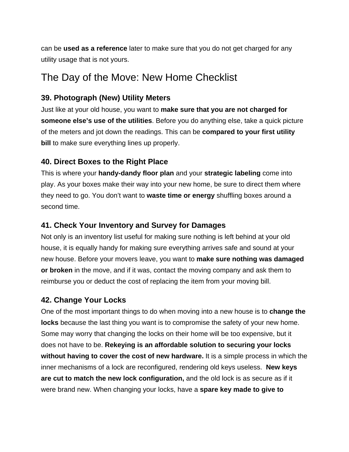can be **used as a reference** later to make sure that you do not get charged for any utility usage that is not yours.

## The Day of the Move: New Home Checklist

## **39. Photograph (New) Utility Meters**

Just like at your old house, you want to **make sure that you are not charged for someone else's use of the utilities**. Before you do anything else, take a quick picture of the meters and jot down the readings. This can be **compared to your [first utility](https://www.starenergypartners.com/blog/electric-bill/planning-for-your-first-utility-bill/)  [bill](https://www.starenergypartners.com/blog/electric-bill/planning-for-your-first-utility-bill/)** to make sure everything lines up properly.

### **40. Direct Boxes to the Right Place**

This is where your **handy-dandy floor plan** and your **strategic labeling** come into play. As your boxes make their way into your new home, be sure to [direct them where](http://pack2go.ae/tips-to-stay-sane-while-unpacking/)  [they need to go.](http://pack2go.ae/tips-to-stay-sane-while-unpacking/) You don't want to **waste time or energy** shuffling boxes around a second time.

### **41. Check Your Inventory and Survey for Damages**

Not only is an inventory list useful for making sure nothing is left behind at your old house, it is equally handy for making sure everything arrives safe and sound at your new house. Before your movers leave, you want to **[make sure nothing was damaged](http://moving.tips/moving-day-tips/avoid-property-damage-when-moving/)  [or broken](http://moving.tips/moving-day-tips/avoid-property-damage-when-moving/)** in the move, and if it was, contact the moving company and ask them to reimburse you or deduct the cost of replacing the item from your moving bill.

#### **42. Change Your Locks**

One of the most important things to do when moving into a new house is to **change the locks** because the last thing you want is to compromise the safety of your new home. Some may worry that changing the locks on their home will be too expensive, but it does not have to be. **[Rekeying](http://www.rekey.com/locksmith/rekey-special/) is an affordable solution to securing your locks without having to cover the cost of new hardware.** It is a simple process in which the inner mechanisms of a lock are reconfigured, rendering old keys useless. **New keys are cut to match the new lock configuration,** and the old lock is as secure as if it were brand new. When changing your locks, have a **spare key made to give to**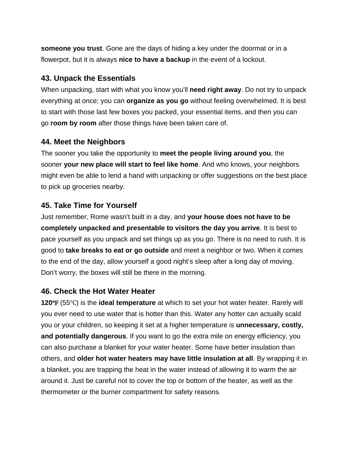**someone you trust**. [Gone are the days of hiding a key](http://www.rekey.com/locksmith/diy-home-security-tips-tricks/) under the doormat or in a flowerpot, but it is always **nice to have a backup** in the event of a lockout.

#### **43. Unpack the Essentials**

When [unpacking](https://unclutterer.com/2011/03/24/moving-the-art-of-unpacking/), start with what you know you'll **need right away**. Do not try to unpack everything at once; you can **organize as you go** without feeling overwhelmed. It is best to start with those last few boxes you packed, your essential items, and then you can go **room by room** after those things have been taken care of.

#### **44. Meet the Neighbors**

The sooner you take the opportunity to **meet the people living around you**, the sooner **your new place will start to feel like home**. And who knows, your neighbors might even be able to lend a hand with unpacking or offer suggestions on the best place to pick up groceries nearby.

#### **45. Take Time for Yourself**

Just remember, Rome wasn't built in a day, and **your house does not have to be completely unpacked and presentable to visitors [the day you arrive](http://www.themovingblog.com/first-day-in-new-home/)**. It is best to pace yourself as you unpack and set things up as you go. There is no need to rush. It is good to **take breaks to eat or go outside** and meet a neighbor or two. When it comes to the end of the day, allow yourself a good night's sleep after a long day of moving. Don't worry, the boxes will still be there in the morning.

#### **46. Check the Hot Water Heater**

**120°F** (55°C) is the **ideal temperature** at which to set your hot water heater. Rarely will you ever need to use water that is hotter than this. Water any hotter can actually scald you or your children, so keeping it set at a higher temperature is **unnecessary, costly, and potentially dangerous**. If you want to [go the extra mile on energy efficiency](http://www.thesimpledollar.com/18-things-a-new-homeowner-should-do-immediately-to-save-money/), you can also purchase a blanket for your water heater. Some have better insulation than others, and **older hot water heaters may have little insulation at all**. By wrapping it in a blanket, you are trapping the heat in the water instead of allowing it to warm the air around it. Just be careful not to cover the top or bottom of the heater, as well as the thermometer or the burner compartment for safety reasons.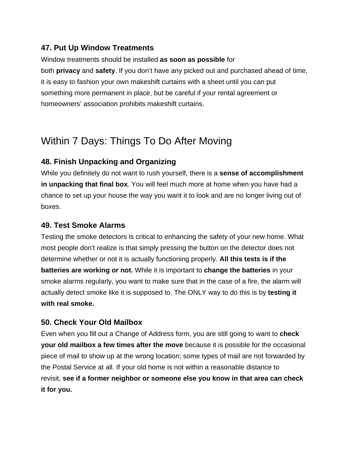### **47. Put Up Window Treatments**

Window treatments should be installed **as soon as possible** for both **privacy** and **safety**. If you don't have any picked out and purchased ahead of time, it is easy to fashion your own makeshift curtains with a sheet until you can put something more permanent in place, but be careful if your rental agreement or homeowners' association prohibits makeshift curtains.

# Within 7 Days: Things To Do After Moving

## **48. Finish Unpacking and Organizing**

While you definitely do not want to rush yourself, there is a **sense of accomplishment in unpacking that final box**. You will [feel much more at home](http://www.homefair.com/articles/family/getting-settled.asp) when you have had a chance to set up your house the way you want it to look and are no longer living out of boxes.

#### **49. Test Smoke Alarms**

[Testing the smoke detectors](http://www.rekey.com/locksmith/mr-rekeys-guide-to-smoke-alarm-safety/) is critical to enhancing the safety of your new home. What most people don't realize is that simply pressing the button on the detector does not determine whether or not it is actually functioning properly. **All this tests is if the batteries are working or not.** While it is important to **change the batteries** in your smoke alarms regularly, you want to make sure that in the case of a fire, the alarm will actually detect smoke like it is supposed to. The ONLY way to do this is by **testing it with real smoke.**

## **50. Check Your Old Mailbox**

Even when you fill out a Change of Address form, you are still going to want to **[check](https://www.overstock.com/guides/faqs-about-changing-your-address)  [your old mailbox](https://www.overstock.com/guides/faqs-about-changing-your-address) a few times after the move** because it is possible for the occasional piece of mail to show up at the wrong location; some types of mail are not forwarded by the Postal Service at all. If your old home is not within a reasonable distance to revisit, **see if a former neighbor or someone else you know in that area can check it for you.**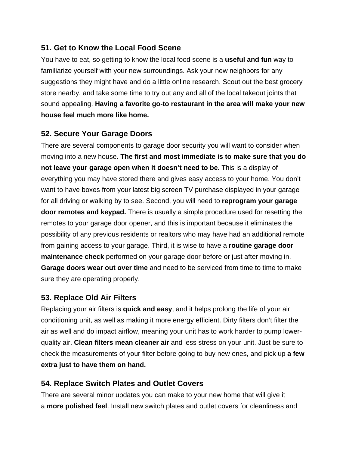#### **51. Get to Know the Local Food Scene**

You have to eat, so [getting to know the local food scene](https://www.grubhub.com/) is a **useful and fun** way to familiarize yourself with your new surroundings. Ask your new neighbors for any suggestions they might have and do a little online research. Scout out the best grocery store nearby, and take some time to try out any and all of the local takeout joints that sound appealing. **Having a favorite go-to restaurant in the area will make your new house feel much more like home.**

### **52. Secure Your Garage Doors**

There are several components to garage door security you will want to consider when moving into a new house. **The first and most immediate is to make sure that you do not leave your garage open when it doesn't need to be.** This is a display of everything you may have stored there and gives easy access to your home. You don't want to have boxes from your latest big screen TV purchase displayed in your garage for all driving or walking by to see. Second, you will need to **[reprogram your garage](http://mrgaragedoor.com/)  [door remotes and keypad.](http://mrgaragedoor.com/)** There is usually a simple procedure used for resetting the remotes to your garage door opener, and this is important because it eliminates the possibility of any previous residents or realtors who may have had an additional remote from gaining access to your garage. Third, it is wise to have a **routine garage door maintenance check** performed on your garage door before or just after moving in. **Garage doors wear out over time** and need to be serviced from time to time to make sure they are operating properly.

## **53. Replace Old Air Filters**

[Replacing your air filters](https://www.filtereasy.com/filters-101) is **quick and easy**, and it helps prolong the life of your air conditioning unit, as well as making it more energy efficient. Dirty filters don't filter the air as well and do impact airflow, meaning your unit has to work harder to pump lowerquality air. **Clean filters mean cleaner air** and less stress on your unit. Just be sure to check the measurements of your filter before going to buy new ones, and pick up **a few extra just to have them on hand.**

#### **54. Replace Switch Plates and Outlet Covers**

There are several minor updates you can make to your new home that will give it a **more polished feel**. [Install new switch plates](https://brightnest.com/todos/check-and-replace-switch-plates) and outlet covers for cleanliness and